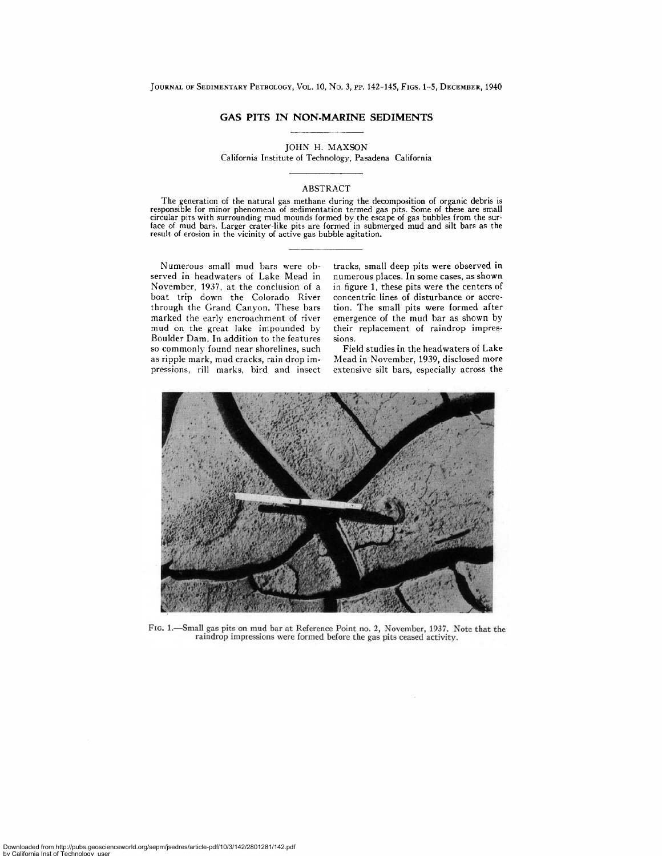## **GAS PITS IN NON.MARINE SEDIMENTS**

JOHN H. MAXSON

California Institute of Technology, Pasadena California

## ABSTRACT

The generation of the natural gas methane during the decomposition of organic debris is<br>responsible for minor phenomena of sedimentation termed gas pits. Some of these are small<br>circular pits with surrounding mud mounds fo face of mud bars. Larger crater-like pits are formed in submerged mud and silt bars as the result of erosion in the vicinity of active gas bubble agitation.

Numerous small mud bars were observed in headwaters of Lake Mead in November, 1937, at the conclusion of a boat trip down the Colorado River through the Grand Canyon. These bars marked the early encroachment of river mud on the great lake impounded by Boulder Dam. In addition to the features so commonly found near shorelines, such as ripple mark, mud cracks, rain drop impressions, rill marks, bird and insect tracks, small deep pits were observed in numerous places. In some cases, as shown in figure 1, these pits were the centers of concentric lines of disturbance or accretion. The small pits were formed after emergence of the mud bar as shown by their replacement of raindrop impressions.

Field studies in the headwaters of Lake Mead in November, 1939, disclosed more extensive silt bars, especially across the



FIG. 1.--Small gas pits on mud bar at Reference Point no. 2, November, 1937. Note that **the**  raindrop impressions were formed before the gas pits ceased activity.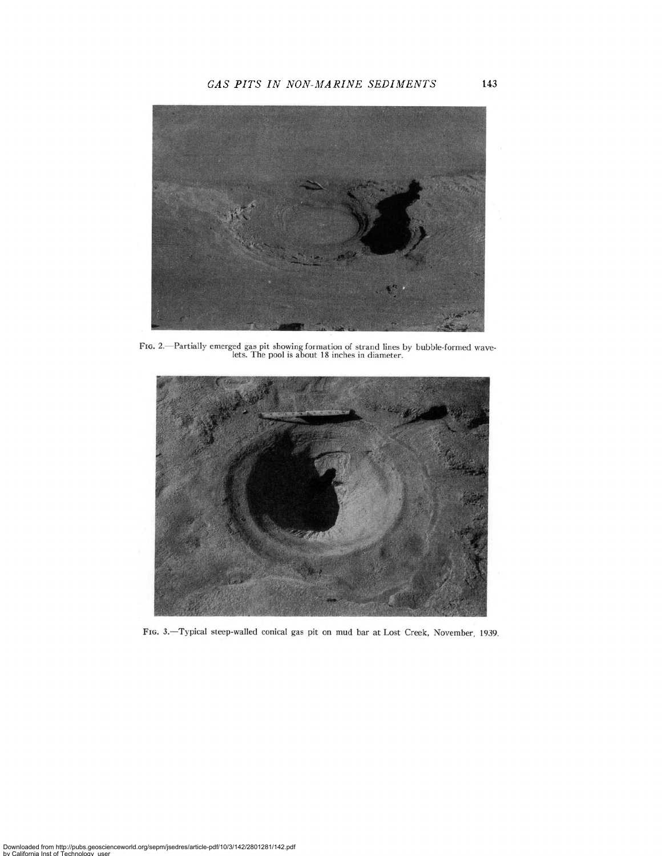

**Fit,** 2.--Partlally emerged gas pit showing formation of strand lines by bubble-formed wave-lets. The pool is about 18 inches in diameter.



FIG. 3.-Typical steep-walled conical gas pit on mud bar at Lost Creek, November, 1939.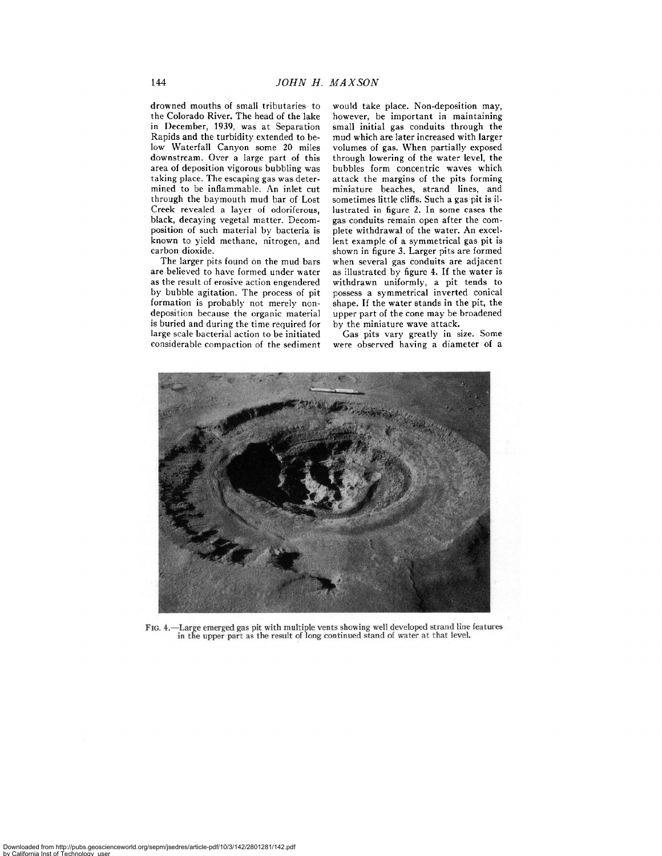drowned mouths of small tributaries to the Colorado River. The head of the lake in December, 1939, was at Separation Rapids and the turbidity extended to below Waterfall Canyon some 20 miles downstream. Over a large part of this area of deposition vigorous bubbling was taking place. The escaping gas was determined to be inflammable. An inlet cut through the baymouth mud bar of Lost Creek revealed a layer of odoriferous, black, decaying vegetal matter. Decomposition of such material by bacteria is known to yield methane, nitrogen, and carbon dioxide.

The larger pits found on the mud bars are believed to have formed under water as the result of erosive action engendered by bubble agitation. The process of pit formation is probably not merely nondeposition because the organic material is buried and during the time required for large scale bacterial action to be initiated considerable compaction of the sediment would take place. Non-deposition may, however, be important in maintaining small initial gas conduits through the mud which are later increased with larger volumes of gas. When partially exposed through lowering of the water level, the bubbles form concentric waves which attack the margins of the pits forming miniature beaches, strand lines, and sometimes little cliffs. Such a gas pit is illustrated in figure 2. In some cases the gas conduits remain open after the complete withdrawal of the water. An excellent example of a symmetrical gas pit is shown in figure 3. Larger pits are formed when several gas conduits are adjacent as illustrated by figure 4. If the water is withdrawn uniformly, a pit tends to possess a symmetrical inverted conical shape. If the water stands in the pit, the upper part of the cone may be broadened by the miniature wave attack.

Gas pits vary greatly in size. Some were observed having a diameter of a



FIG. 4.-Large emerged gas pit with multiple vents showing well developed strand line features in the upper part as the result of long continued stand of water at that level.